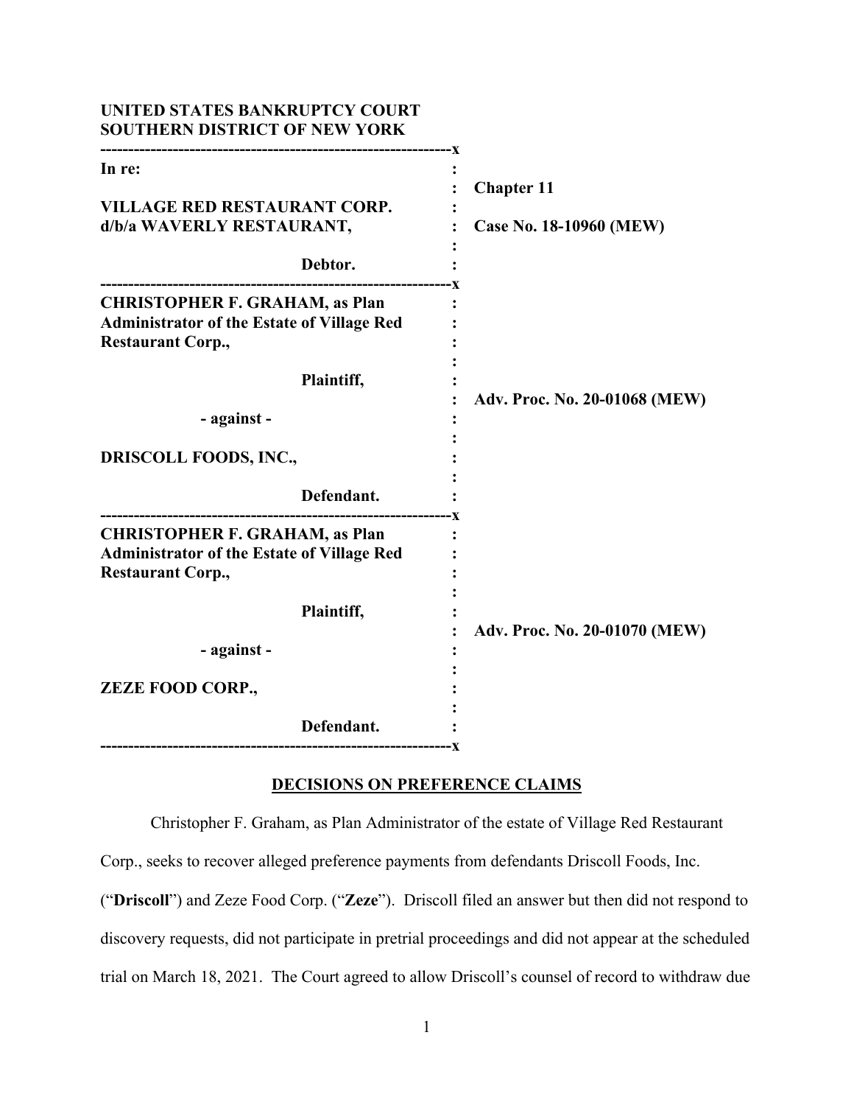| UNITED STATES BANKRUPTCY COURT<br><b>SOUTHERN DISTRICT OF NEW YORK</b>                                                 |                               |
|------------------------------------------------------------------------------------------------------------------------|-------------------------------|
| In re:<br><b>VILLAGE RED RESTAURANT CORP.</b>                                                                          | <b>Chapter 11</b>             |
| d/b/a WAVERLY RESTAURANT,<br>Debtor.                                                                                   | Case No. 18-10960 (MEW)       |
| <b>CHRISTOPHER F. GRAHAM, as Plan</b><br><b>Administrator of the Estate of Village Red</b><br><b>Restaurant Corp.,</b> |                               |
| Plaintiff,<br>- against -                                                                                              | Adv. Proc. No. 20-01068 (MEW) |
| <b>DRISCOLL FOODS, INC.,</b><br>Defendant.                                                                             |                               |
| <b>CHRISTOPHER F. GRAHAM, as Plan</b><br><b>Administrator of the Estate of Village Red</b><br><b>Restaurant Corp.,</b> |                               |
| Plaintiff,<br>- against -                                                                                              | Adv. Proc. No. 20-01070 (MEW) |
| <b>ZEZE FOOD CORP.,</b>                                                                                                |                               |
| Defendant.<br>-------------------------------------<br>-----------------X                                              |                               |

# **DECISIONS ON PREFERENCE CLAIMS**

Christopher F. Graham, as Plan Administrator of the estate of Village Red Restaurant

Corp., seeks to recover alleged preference payments from defendants Driscoll Foods, Inc.

("**Driscoll**") and Zeze Food Corp. ("**Zeze**"). Driscoll filed an answer but then did not respond to discovery requests, did not participate in pretrial proceedings and did not appear at the scheduled trial on March 18, 2021. The Court agreed to allow Driscoll's counsel of record to withdraw due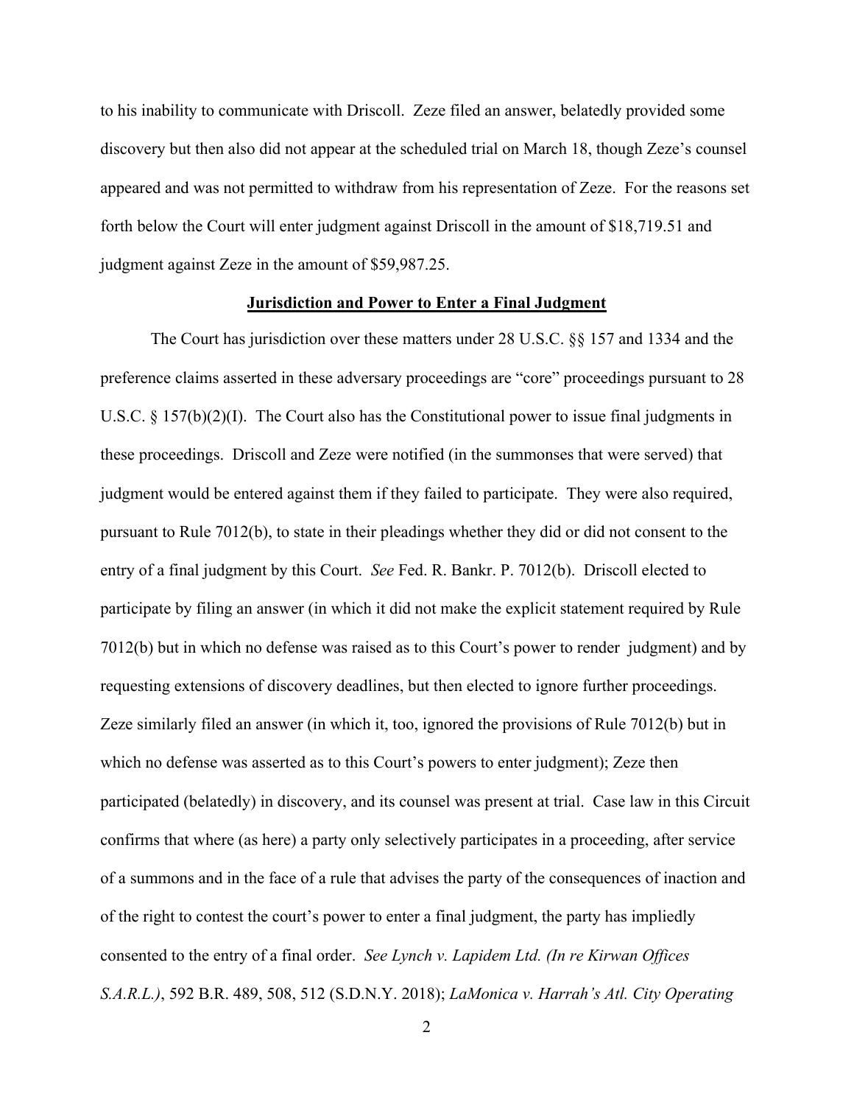to his inability to communicate with Driscoll. Zeze filed an answer, belatedly provided some discovery but then also did not appear at the scheduled trial on March 18, though Zeze's counsel appeared and was not permitted to withdraw from his representation of Zeze. For the reasons set forth below the Court will enter judgment against Driscoll in the amount of \$18,719.51 and judgment against Zeze in the amount of \$59,987.25.

### **Jurisdiction and Power to Enter a Final Judgment**

The Court has jurisdiction over these matters under 28 U.S.C. §§ 157 and 1334 and the preference claims asserted in these adversary proceedings are "core" proceedings pursuant to 28 U.S.C. § 157(b)(2)(I). The Court also has the Constitutional power to issue final judgments in these proceedings. Driscoll and Zeze were notified (in the summonses that were served) that judgment would be entered against them if they failed to participate. They were also required, pursuant to Rule 7012(b), to state in their pleadings whether they did or did not consent to the entry of a final judgment by this Court. *See* Fed. R. Bankr. P. 7012(b). Driscoll elected to participate by filing an answer (in which it did not make the explicit statement required by Rule 7012(b) but in which no defense was raised as to this Court's power to render judgment) and by requesting extensions of discovery deadlines, but then elected to ignore further proceedings. Zeze similarly filed an answer (in which it, too, ignored the provisions of Rule 7012(b) but in which no defense was asserted as to this Court's powers to enter judgment); Zeze then participated (belatedly) in discovery, and its counsel was present at trial. Case law in this Circuit confirms that where (as here) a party only selectively participates in a proceeding, after service of a summons and in the face of a rule that advises the party of the consequences of inaction and of the right to contest the court's power to enter a final judgment, the party has impliedly consented to the entry of a final order. *See Lynch v. Lapidem Ltd. (In re Kirwan Offices S.A.R.L.)*, 592 B.R. 489, 508, 512 (S.D.N.Y. 2018); *LaMonica v. Harrah's Atl. City Operating*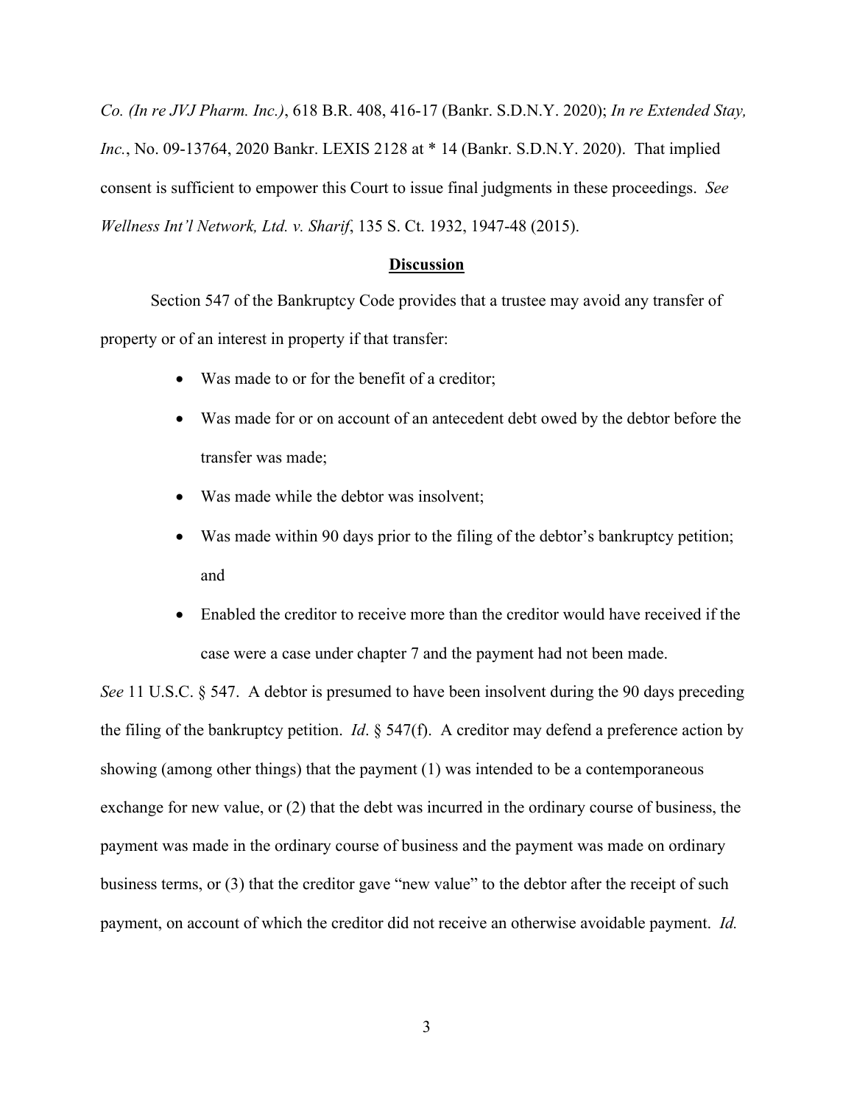*Co. (In re JVJ Pharm. Inc.)*, 618 B.R. 408, 416-17 (Bankr. S.D.N.Y. 2020); *In re Extended Stay, Inc.*, No. 09-13764, 2020 Bankr. LEXIS 2128 at \* 14 (Bankr. S.D.N.Y. 2020). That implied consent is sufficient to empower this Court to issue final judgments in these proceedings. *See Wellness Int'l Network, Ltd. v. Sharif*, 135 S. Ct. 1932, 1947-48 (2015).

#### **Discussion**

Section 547 of the Bankruptcy Code provides that a trustee may avoid any transfer of property or of an interest in property if that transfer:

- Was made to or for the benefit of a creditor;
- Was made for or on account of an antecedent debt owed by the debtor before the transfer was made;
- Was made while the debtor was insolvent;
- Was made within 90 days prior to the filing of the debtor's bankruptcy petition; and
- Enabled the creditor to receive more than the creditor would have received if the case were a case under chapter 7 and the payment had not been made.

*See* 11 U.S.C. § 547. A debtor is presumed to have been insolvent during the 90 days preceding the filing of the bankruptcy petition. *Id*. § 547(f). A creditor may defend a preference action by showing (among other things) that the payment (1) was intended to be a contemporaneous exchange for new value, or (2) that the debt was incurred in the ordinary course of business, the payment was made in the ordinary course of business and the payment was made on ordinary business terms, or (3) that the creditor gave "new value" to the debtor after the receipt of such payment, on account of which the creditor did not receive an otherwise avoidable payment. *Id.*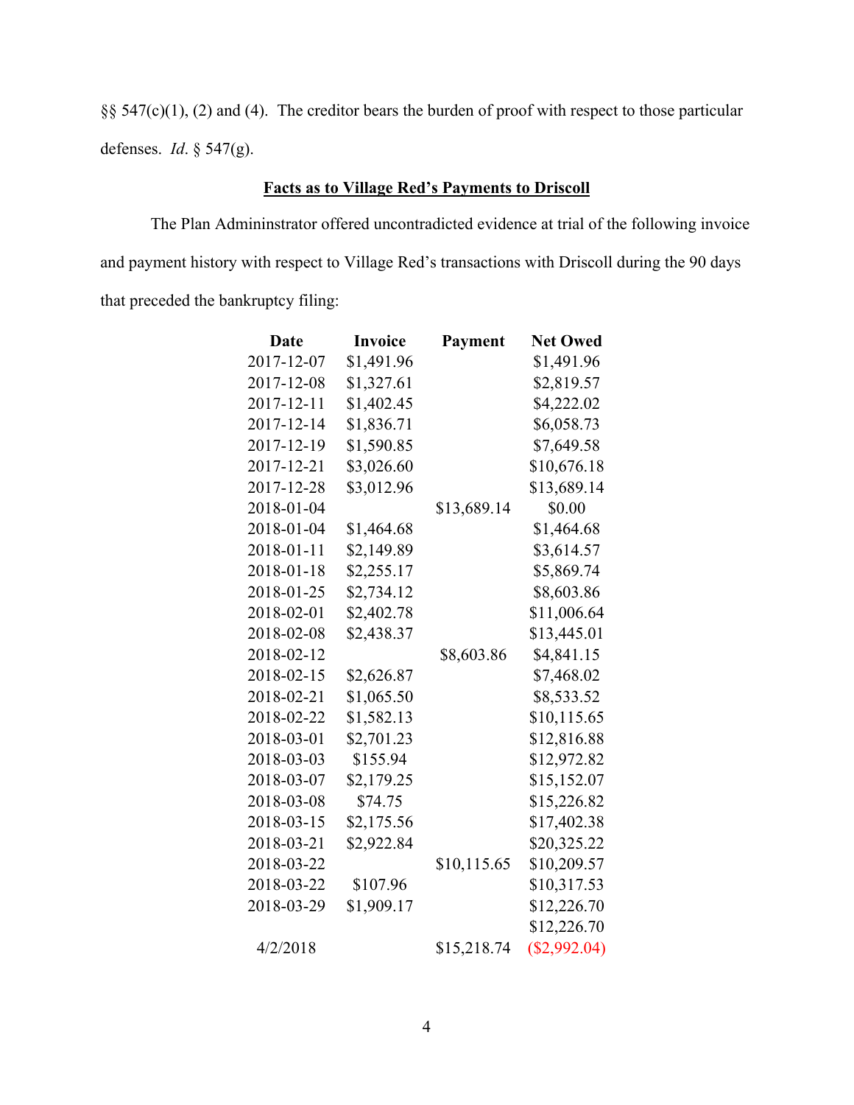§§ 547(c)(1), (2) and (4). The creditor bears the burden of proof with respect to those particular defenses. *Id*. § 547(g).

## **Facts as to Village Red's Payments to Driscoll**

The Plan Admininstrator offered uncontradicted evidence at trial of the following invoice and payment history with respect to Village Red's transactions with Driscoll during the 90 days that preceded the bankruptcy filing:

| Date       | <b>Invoice</b> | Payment     | <b>Net Owed</b> |
|------------|----------------|-------------|-----------------|
| 2017-12-07 | \$1,491.96     |             | \$1,491.96      |
| 2017-12-08 | \$1,327.61     |             | \$2,819.57      |
| 2017-12-11 | \$1,402.45     |             | \$4,222.02      |
| 2017-12-14 | \$1,836.71     |             | \$6,058.73      |
| 2017-12-19 | \$1,590.85     |             | \$7,649.58      |
| 2017-12-21 | \$3,026.60     |             | \$10,676.18     |
| 2017-12-28 | \$3,012.96     |             | \$13,689.14     |
| 2018-01-04 |                | \$13,689.14 | \$0.00          |
| 2018-01-04 | \$1,464.68     |             | \$1,464.68      |
| 2018-01-11 | \$2,149.89     |             | \$3,614.57      |
| 2018-01-18 | \$2,255.17     |             | \$5,869.74      |
| 2018-01-25 | \$2,734.12     |             | \$8,603.86      |
| 2018-02-01 | \$2,402.78     |             | \$11,006.64     |
| 2018-02-08 | \$2,438.37     |             | \$13,445.01     |
| 2018-02-12 |                | \$8,603.86  | \$4,841.15      |
| 2018-02-15 | \$2,626.87     |             | \$7,468.02      |
| 2018-02-21 | \$1,065.50     |             | \$8,533.52      |
| 2018-02-22 | \$1,582.13     |             | \$10,115.65     |
| 2018-03-01 | \$2,701.23     |             | \$12,816.88     |
| 2018-03-03 | \$155.94       |             | \$12,972.82     |
| 2018-03-07 | \$2,179.25     |             | \$15,152.07     |
| 2018-03-08 | \$74.75        |             | \$15,226.82     |
| 2018-03-15 | \$2,175.56     |             | \$17,402.38     |
| 2018-03-21 | \$2,922.84     |             | \$20,325.22     |
| 2018-03-22 |                | \$10,115.65 | \$10,209.57     |
| 2018-03-22 | \$107.96       |             | \$10,317.53     |
| 2018-03-29 | \$1,909.17     |             | \$12,226.70     |
|            |                |             | \$12,226.70     |
| 4/2/2018   |                | \$15,218.74 | (\$2,992.04)    |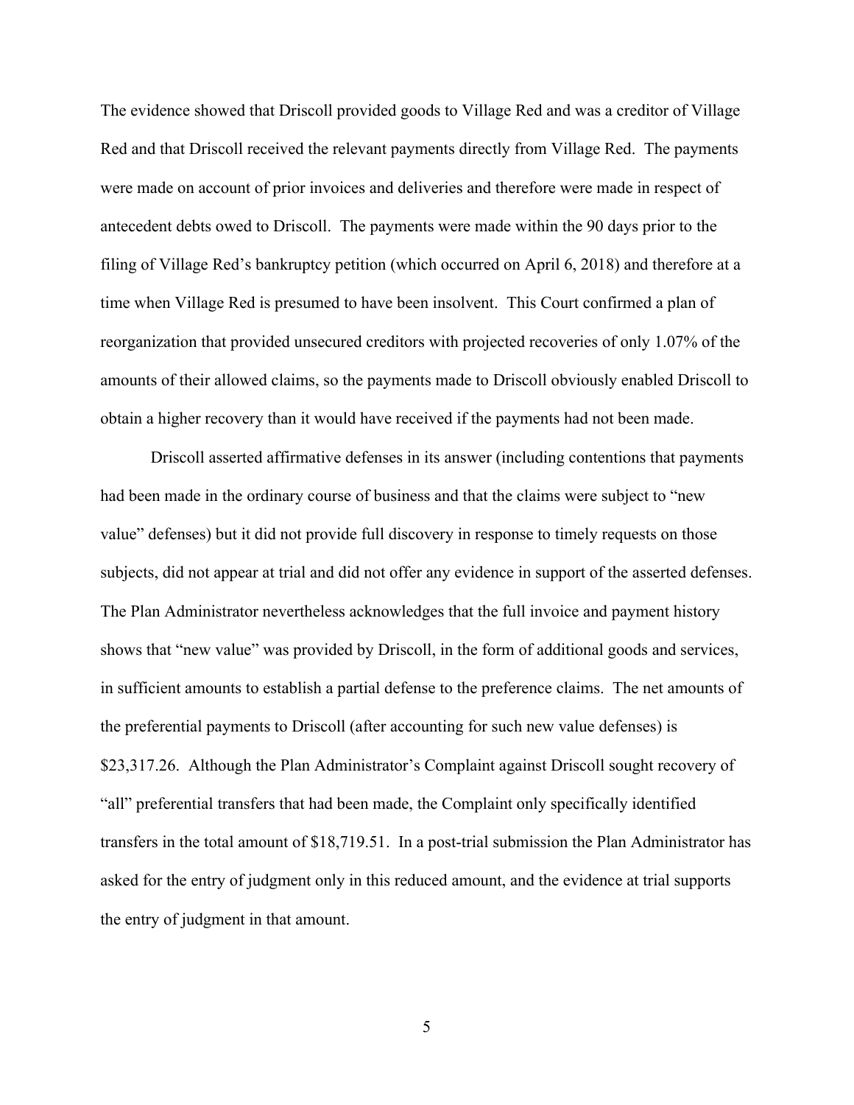The evidence showed that Driscoll provided goods to Village Red and was a creditor of Village Red and that Driscoll received the relevant payments directly from Village Red. The payments were made on account of prior invoices and deliveries and therefore were made in respect of antecedent debts owed to Driscoll. The payments were made within the 90 days prior to the filing of Village Red's bankruptcy petition (which occurred on April 6, 2018) and therefore at a time when Village Red is presumed to have been insolvent. This Court confirmed a plan of reorganization that provided unsecured creditors with projected recoveries of only 1.07% of the amounts of their allowed claims, so the payments made to Driscoll obviously enabled Driscoll to obtain a higher recovery than it would have received if the payments had not been made.

Driscoll asserted affirmative defenses in its answer (including contentions that payments had been made in the ordinary course of business and that the claims were subject to "new value" defenses) but it did not provide full discovery in response to timely requests on those subjects, did not appear at trial and did not offer any evidence in support of the asserted defenses. The Plan Administrator nevertheless acknowledges that the full invoice and payment history shows that "new value" was provided by Driscoll, in the form of additional goods and services, in sufficient amounts to establish a partial defense to the preference claims. The net amounts of the preferential payments to Driscoll (after accounting for such new value defenses) is \$23,317.26. Although the Plan Administrator's Complaint against Driscoll sought recovery of "all" preferential transfers that had been made, the Complaint only specifically identified transfers in the total amount of \$18,719.51. In a post-trial submission the Plan Administrator has asked for the entry of judgment only in this reduced amount, and the evidence at trial supports the entry of judgment in that amount.

5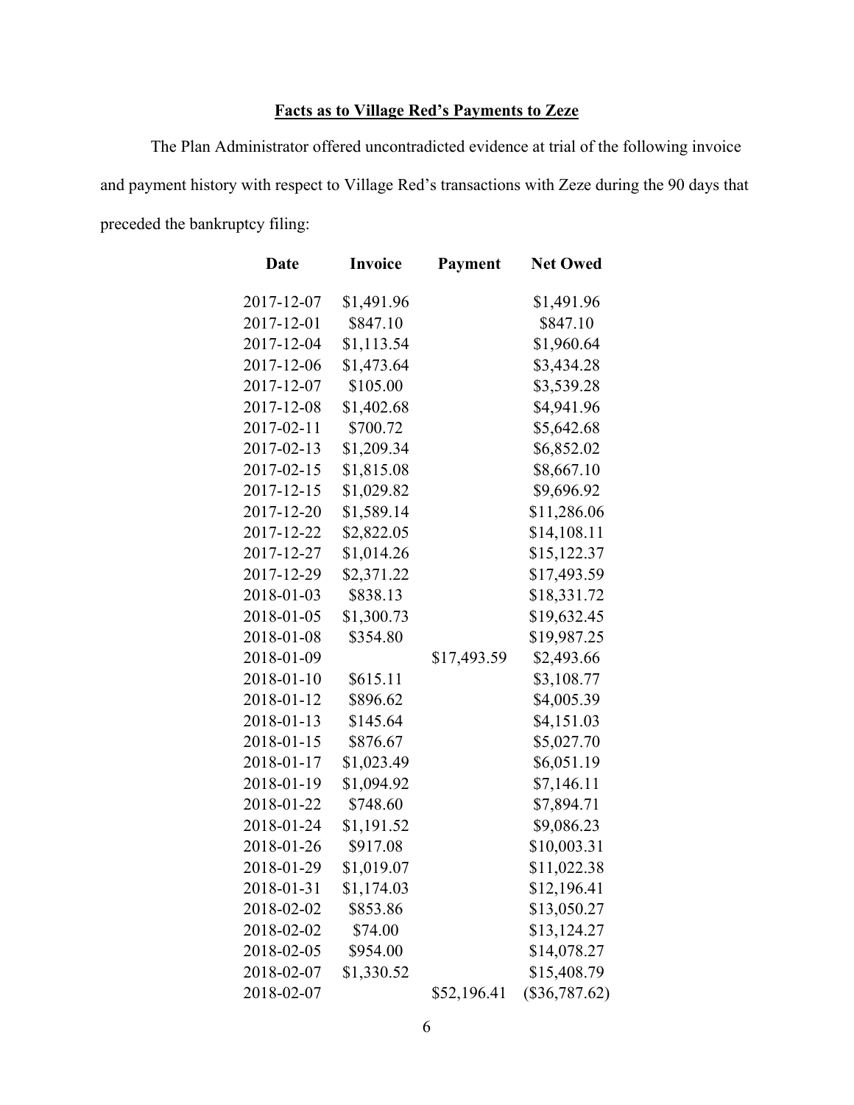## **Facts as to Village Red's Payments to Zeze**

The Plan Administrator offered uncontradicted evidence at trial of the following invoice and payment history with respect to Village Red's transactions with Zeze during the 90 days that preceded the bankruptcy filing:

| Date       | <b>Invoice</b> | Payment     | <b>Net Owed</b> |
|------------|----------------|-------------|-----------------|
| 2017-12-07 | \$1,491.96     |             | \$1,491.96      |
| 2017-12-01 | \$847.10       |             | \$847.10        |
| 2017-12-04 | \$1,113.54     |             | \$1,960.64      |
| 2017-12-06 | \$1,473.64     |             | \$3,434.28      |
| 2017-12-07 | \$105.00       |             | \$3,539.28      |
| 2017-12-08 | \$1,402.68     |             | \$4,941.96      |
| 2017-02-11 | \$700.72       |             | \$5,642.68      |
| 2017-02-13 | \$1,209.34     |             | \$6,852.02      |
| 2017-02-15 | \$1,815.08     |             | \$8,667.10      |
| 2017-12-15 | \$1,029.82     |             | \$9,696.92      |
| 2017-12-20 | \$1,589.14     |             | \$11,286.06     |
| 2017-12-22 | \$2,822.05     |             | \$14,108.11     |
| 2017-12-27 | \$1,014.26     |             | \$15,122.37     |
| 2017-12-29 | \$2,371.22     |             | \$17,493.59     |
| 2018-01-03 | \$838.13       |             | \$18,331.72     |
| 2018-01-05 | \$1,300.73     |             | \$19,632.45     |
| 2018-01-08 | \$354.80       |             | \$19,987.25     |
| 2018-01-09 |                | \$17,493.59 | \$2,493.66      |
| 2018-01-10 | \$615.11       |             | \$3,108.77      |
| 2018-01-12 | \$896.62       |             | \$4,005.39      |
| 2018-01-13 | \$145.64       |             | \$4,151.03      |
| 2018-01-15 | \$876.67       |             | \$5,027.70      |
| 2018-01-17 | \$1,023.49     |             | \$6,051.19      |
| 2018-01-19 | \$1,094.92     |             | \$7,146.11      |
| 2018-01-22 | \$748.60       |             | \$7,894.71      |
| 2018-01-24 | \$1,191.52     |             | \$9,086.23      |
| 2018-01-26 | \$917.08       |             | \$10,003.31     |
| 2018-01-29 | \$1,019.07     |             | \$11,022.38     |
| 2018-01-31 | \$1,174.03     |             | \$12,196.41     |
| 2018-02-02 | \$853.86       |             | \$13,050.27     |
| 2018-02-02 | \$74.00        |             | \$13,124.27     |
| 2018-02-05 | \$954.00       |             | \$14,078.27     |
| 2018-02-07 | \$1,330.52     |             | \$15,408.79     |
| 2018-02-07 |                | \$52,196.41 | $(\$36,787.62)$ |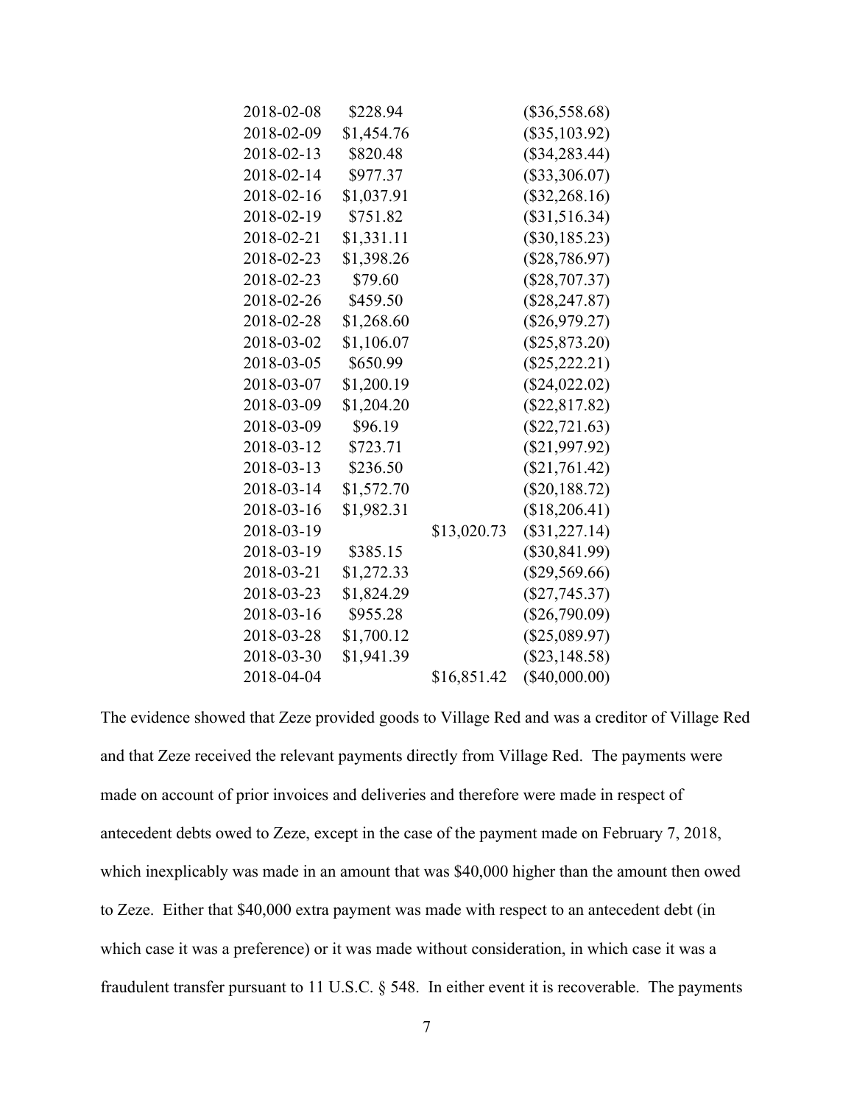| 2018-02-08 | \$228.94   |             | $(\$36,558.68)$ |
|------------|------------|-------------|-----------------|
| 2018-02-09 | \$1,454.76 |             | $(\$35,103.92)$ |
| 2018-02-13 | \$820.48   |             | $(\$34,283.44)$ |
| 2018-02-14 | \$977.37   |             | $(\$33,306.07)$ |
| 2018-02-16 | \$1,037.91 |             | $(\$32,268.16)$ |
| 2018-02-19 | \$751.82   |             | $(\$31,516.34)$ |
| 2018-02-21 | \$1,331.11 |             | $(\$30,185.23)$ |
| 2018-02-23 | \$1,398.26 |             | (\$28,786.97)   |
| 2018-02-23 | \$79.60    |             | $(\$28,707.37)$ |
| 2018-02-26 | \$459.50   |             | $(\$28,247.87)$ |
| 2018-02-28 | \$1,268.60 |             | $(\$26,979.27)$ |
| 2018-03-02 | \$1,106.07 |             | $(\$25,873.20)$ |
| 2018-03-05 | \$650.99   |             | $(\$25,222.21)$ |
| 2018-03-07 | \$1,200.19 |             | $(\$24,022.02)$ |
| 2018-03-09 | \$1,204.20 |             | $(\$22,817.82)$ |
| 2018-03-09 | \$96.19    |             | $(\$22,721.63)$ |
| 2018-03-12 | \$723.71   |             | $(\$21,997.92)$ |
| 2018-03-13 | \$236.50   |             | $(\$21,761.42)$ |
| 2018-03-14 | \$1,572.70 |             | $(\$20,188.72)$ |
| 2018-03-16 | \$1,982.31 |             | (\$18,206.41)   |
| 2018-03-19 |            | \$13,020.73 | $(\$31,227.14)$ |
| 2018-03-19 | \$385.15   |             | $(\$30,841.99)$ |
| 2018-03-21 | \$1,272.33 |             | $(\$29,569.66)$ |
| 2018-03-23 | \$1,824.29 |             | $(\$27,745.37)$ |
| 2018-03-16 | \$955.28   |             | $(\$26,790.09)$ |
| 2018-03-28 | \$1,700.12 |             | $(\$25,089.97)$ |
| 2018-03-30 | \$1,941.39 |             | $(\$23,148.58)$ |
| 2018-04-04 |            | \$16,851.42 | $(\$40,000.00)$ |
|            |            |             |                 |

The evidence showed that Zeze provided goods to Village Red and was a creditor of Village Red and that Zeze received the relevant payments directly from Village Red. The payments were made on account of prior invoices and deliveries and therefore were made in respect of antecedent debts owed to Zeze, except in the case of the payment made on February 7, 2018, which inexplicably was made in an amount that was \$40,000 higher than the amount then owed to Zeze. Either that \$40,000 extra payment was made with respect to an antecedent debt (in which case it was a preference) or it was made without consideration, in which case it was a fraudulent transfer pursuant to 11 U.S.C. § 548. In either event it is recoverable. The payments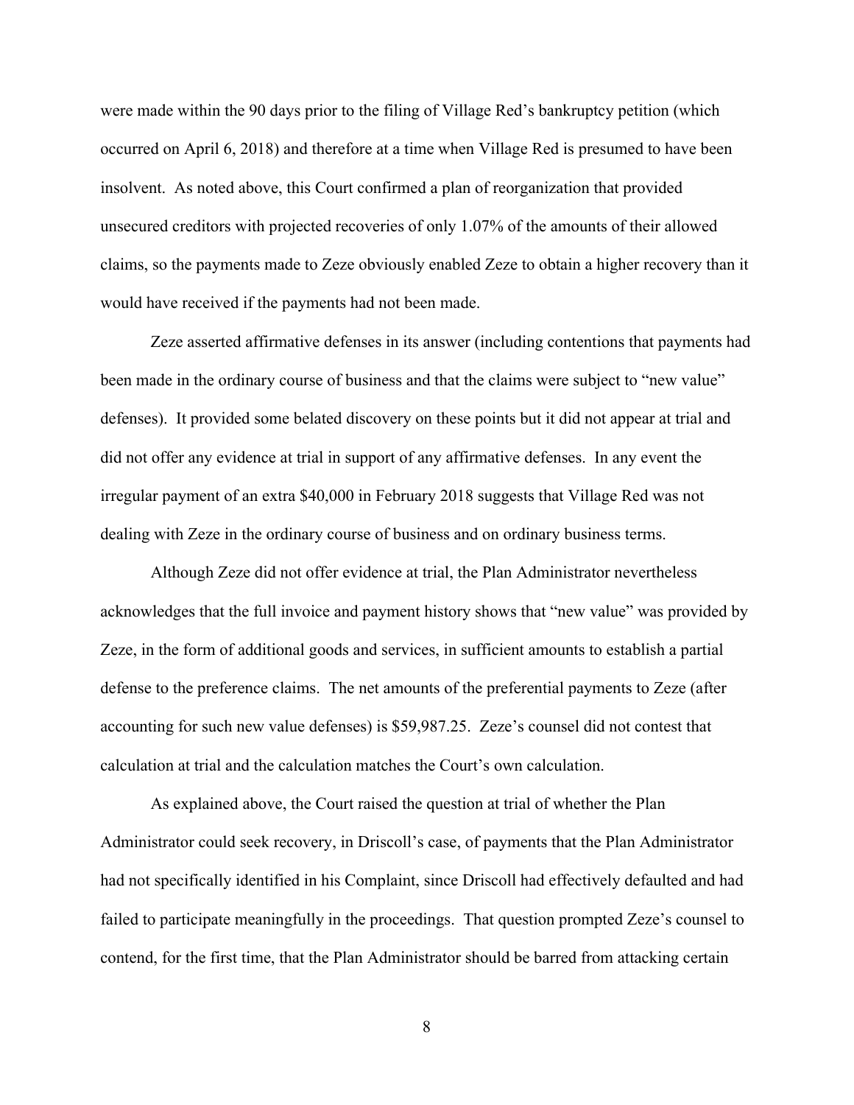were made within the 90 days prior to the filing of Village Red's bankruptcy petition (which occurred on April 6, 2018) and therefore at a time when Village Red is presumed to have been insolvent. As noted above, this Court confirmed a plan of reorganization that provided unsecured creditors with projected recoveries of only 1.07% of the amounts of their allowed claims, so the payments made to Zeze obviously enabled Zeze to obtain a higher recovery than it would have received if the payments had not been made.

Zeze asserted affirmative defenses in its answer (including contentions that payments had been made in the ordinary course of business and that the claims were subject to "new value" defenses). It provided some belated discovery on these points but it did not appear at trial and did not offer any evidence at trial in support of any affirmative defenses. In any event the irregular payment of an extra \$40,000 in February 2018 suggests that Village Red was not dealing with Zeze in the ordinary course of business and on ordinary business terms.

Although Zeze did not offer evidence at trial, the Plan Administrator nevertheless acknowledges that the full invoice and payment history shows that "new value" was provided by Zeze, in the form of additional goods and services, in sufficient amounts to establish a partial defense to the preference claims. The net amounts of the preferential payments to Zeze (after accounting for such new value defenses) is \$59,987.25. Zeze's counsel did not contest that calculation at trial and the calculation matches the Court's own calculation.

As explained above, the Court raised the question at trial of whether the Plan Administrator could seek recovery, in Driscoll's case, of payments that the Plan Administrator had not specifically identified in his Complaint, since Driscoll had effectively defaulted and had failed to participate meaningfully in the proceedings. That question prompted Zeze's counsel to contend, for the first time, that the Plan Administrator should be barred from attacking certain

8